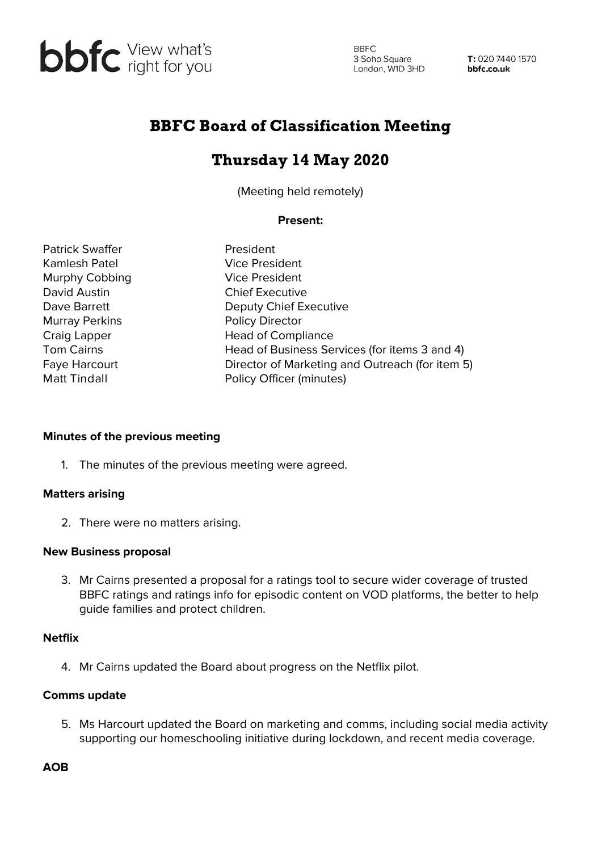

**BBFC** 3 Soho Square s Sono Square<br>London, W1D 3HD

T: 020 7440 1570 bbfc.co.uk

## BBFC Board of Classification Meeting

# Thursday 14 May 2020

(Meeting held remotely)

## **Present:**

Patrick Swaffer **President** Kamlesh Patel Vice President Murphy Cobbing Vice President David Austin Chief Executive Murray Perkins **Policy Director** 

Dave Barrett Deputy Chief Executive Craig Lapper Head of Compliance Tom Cairns **Head of Business Services (for items 3 and 4)** Faye Harcourt **Director of Marketing and Outreach (for item 5)** Matt Tindall **Matt Tindall** Policy Officer (minutes)

### **Minutes of the previous meeting**

1. The minutes of the previous meeting were agreed.

## **Matters arising**

2. There were no matters arising.

### **New Business proposal**

3. Mr Cairns presented a proposal for a ratings tool to secure wider coverage of trusted BBFC ratings and ratings info for episodic content on VOD platforms, the better to help guide families and protect children.

### **Netflix**

4. Mr Cairns updated the Board about progress on the Netflix pilot.

### **Comms update**

5. Ms Harcourt updated the Board on marketing and comms, including social media activity supporting our homeschooling initiative during lockdown, and recent media coverage.

**AOB**